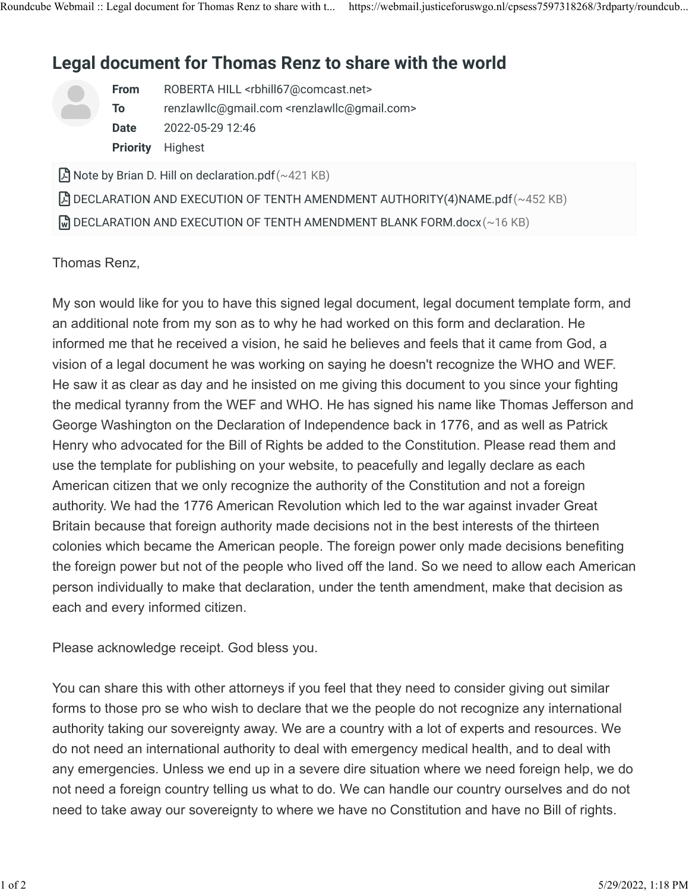## **Legal document for Thomas Renz to share with the world**

| <b>From</b> | ROBERTA HILL <rbhill67@comcast.net></rbhill67@comcast.net>         |
|-------------|--------------------------------------------------------------------|
| Τo          | renzlawllc@gmail.com <renzlawllc@gmail.com></renzlawllc@gmail.com> |
| <b>Date</b> | 2022-05-29 12:46                                                   |
|             | <b>Priority</b> Highest                                            |

 $\beta$  Note by Brian D. Hill on declaration.pdf (~421 KB)

 $\beta$  DECLARATION AND EXECUTION OF TENTH AMENDMENT AUTHORITY(4)NAME.pdf (~452 KB)

 $\mathbb{\mathbb{R}}$  DECLARATION AND EXECUTION OF TENTH AMENDMENT BLANK FORM.docx (~16 KB)

## Thomas Renz,

My son would like for you to have this signed legal document, legal document template form, and an additional note from my son as to why he had worked on this form and declaration. He informed me that he received a vision, he said he believes and feels that it came from God, a vision of a legal document he was working on saying he doesn't recognize the WHO and WEF. He saw it as clear as day and he insisted on me giving this document to you since your fighting the medical tyranny from the WEF and WHO. He has signed his name like Thomas Jefferson and George Washington on the Declaration of Independence back in 1776, and as well as Patrick Henry who advocated for the Bill of Rights be added to the Constitution. Please read them and use the template for publishing on your website, to peacefully and legally declare as each American citizen that we only recognize the authority of the Constitution and not a foreign authority. We had the 1776 American Revolution which led to the war against invader Great Britain because that foreign authority made decisions not in the best interests of the thirteen colonies which became the American people. The foreign power only made decisions benefiting the foreign power but not of the people who lived off the land. So we need to allow each American person individually to make that declaration, under the tenth amendment, make that decision as each and every informed citizen.

Please acknowledge receipt. God bless you.

You can share this with other attorneys if you feel that they need to consider giving out similar forms to those pro se who wish to declare that we the people do not recognize any international authority taking our sovereignty away. We are a country with a lot of experts and resources. We do not need an international authority to deal with emergency medical health, and to deal with any emergencies. Unless we end up in a severe dire situation where we need foreign help, we do not need a foreign country telling us what to do. We can handle our country ourselves and do not need to take away our sovereignty to where we have no Constitution and have no Bill of rights.